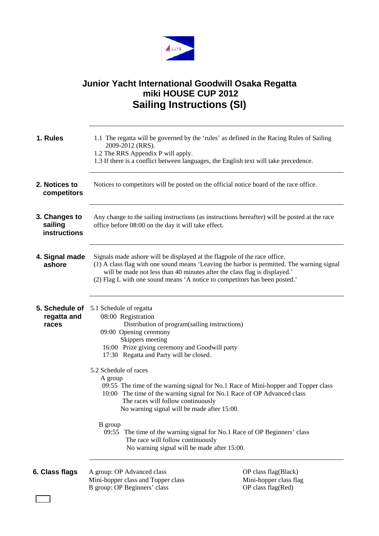

## **Junior Yacht International Goodwill Osaka Regatta miki HOUSE CUP 2012 Sailing Instructions (SI)**

| 1. Rules                                 | 2009-2012 (RRS).<br>1.2 The RRS Appendix P will apply.<br>1.3 If there is a conflict between languages, the English text will take precedence.                                                                                                                                                                                                                                                                                                                     | 1.1 The regatta will be governed by the 'rules' as defined in the Racing Rules of Sailing |
|------------------------------------------|--------------------------------------------------------------------------------------------------------------------------------------------------------------------------------------------------------------------------------------------------------------------------------------------------------------------------------------------------------------------------------------------------------------------------------------------------------------------|-------------------------------------------------------------------------------------------|
| 2. Notices to<br>competitors             | Notices to competitors will be posted on the official notice board of the race office.                                                                                                                                                                                                                                                                                                                                                                             |                                                                                           |
| 3. Changes to<br>sailing<br>instructions | Any change to the sailing instructions (as instructions hereafter) will be posted at the race<br>office before 08:00 on the day it will take effect.                                                                                                                                                                                                                                                                                                               |                                                                                           |
| 4. Signal made<br>ashore                 | Signals made ashore will be displayed at the flagpole of the race office.<br>(1) A class flag with one sound means 'Leaving the harbor is permitted. The warning signal<br>will be made not less than 40 minutes after the class flag is displayed.'<br>(2) Flag L with one sound means 'A notice to competitors has been posted.'                                                                                                                                 |                                                                                           |
| 5. Schedule of<br>regatta and<br>races   | 5.1 Schedule of regatta<br>08:00 Registration<br>Distribution of program(sailing instructions)<br>09:00 Opening ceremony<br>Skippers meeting<br>16:00 Prize giving ceremony and Goodwill party<br>17:30 Regatta and Party will be closed.                                                                                                                                                                                                                          |                                                                                           |
|                                          | 5.2 Schedule of races<br>A group<br>09:55 The time of the warning signal for No.1 Race of Mini-hopper and Topper class<br>10:00 The time of the warning signal for No.1 Race of OP Advanced class<br>The races will follow continuously<br>No warning signal will be made after 15:00.<br>B group<br>09:55 The time of the warning signal for No.1 Race of OP Beginners' class<br>The race will follow continuously<br>No warning signal will be made after 15:00. |                                                                                           |
|                                          |                                                                                                                                                                                                                                                                                                                                                                                                                                                                    |                                                                                           |
| 6. Class flags                           | A group: OP Advanced class<br>Mini-hopper class and Topper class<br>B group: OP Beginners' class                                                                                                                                                                                                                                                                                                                                                                   | OP class flag(Black)<br>Mini-hopper class flag<br>OP class flag(Red)                      |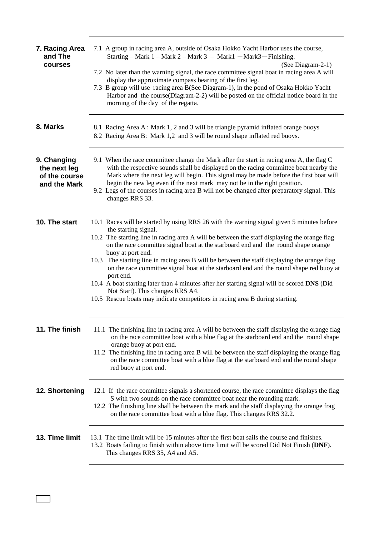| 7. Racing Area<br>and The<br>courses                         | 7.1 A group in racing area A, outside of Osaka Hokko Yacht Harbor uses the course,<br>Starting - Mark 1 - Mark 2 - Mark 3 - Mark1 - Mark3 - Finishing.<br>(See Diagram-2-1)<br>7.2 No later than the warning signal, the race committee signal boat in racing area A will<br>display the approximate compass bearing of the first leg.<br>7.3 B group will use racing area B(See Diagram-1), in the pond of Osaka Hokko Yacht<br>Harbor and the course(Diagram-2-2) will be posted on the official notice board in the<br>morning of the day of the regatta.                                                                                                                                                                                          |
|--------------------------------------------------------------|-------------------------------------------------------------------------------------------------------------------------------------------------------------------------------------------------------------------------------------------------------------------------------------------------------------------------------------------------------------------------------------------------------------------------------------------------------------------------------------------------------------------------------------------------------------------------------------------------------------------------------------------------------------------------------------------------------------------------------------------------------|
| 8. Marks                                                     | 8.1 Racing Area A: Mark 1, 2 and 3 will be triangle pyramid inflated orange buoys<br>8.2 Racing Area B: Mark 1,2 and 3 will be round shape inflated red buoys.                                                                                                                                                                                                                                                                                                                                                                                                                                                                                                                                                                                        |
| 9. Changing<br>the next leg<br>of the course<br>and the Mark | 9.1 When the race committee change the Mark after the start in racing area A, the flag C<br>with the respective sounds shall be displayed on the racing committee boat nearby the<br>Mark where the next leg will begin. This signal may be made before the first boat will<br>begin the new leg even if the next mark may not be in the right position.<br>9.2 Legs of the courses in racing area B will not be changed after preparatory signal. This<br>changes RRS 33.                                                                                                                                                                                                                                                                            |
| 10. The start                                                | 10.1 Races will be started by using RRS 26 with the warning signal given 5 minutes before<br>the starting signal.<br>10.2 The starting line in racing area A will be between the staff displaying the orange flag<br>on the race committee signal boat at the starboard end and the round shape orange<br>buoy at port end.<br>10.3 The starting line in racing area B will be between the staff displaying the orange flag<br>on the race committee signal boat at the starboard end and the round shape red buoy at<br>port end.<br>10.4 A boat starting later than 4 minutes after her starting signal will be scored DNS (Did<br>Not Start). This changes RRS A4.<br>10.5 Rescue boats may indicate competitors in racing area B during starting. |
| 11. The finish                                               | 11.1 The finishing line in racing area A will be between the staff displaying the orange flag<br>on the race committee boat with a blue flag at the starboard end and the round shape<br>orange buoy at port end.<br>11.2 The finishing line in racing area B will be between the staff displaying the orange flag<br>on the race committee boat with a blue flag at the starboard end and the round shape<br>red buoy at port end.                                                                                                                                                                                                                                                                                                                   |
| 12. Shortening                                               | 12.1 If the race committee signals a shortened course, the race committee displays the flag<br>S with two sounds on the race committee boat near the rounding mark.<br>12.2 The finishing line shall be between the mark and the staff displaying the orange frag<br>on the race committee boat with a blue flag. This changes RRS 32.2.                                                                                                                                                                                                                                                                                                                                                                                                              |
| 13. Time limit                                               | 13.1 The time limit will be 15 minutes after the first boat sails the course and finishes.<br>13.2 Boats failing to finish within above time limit will be scored Did Not Finish (DNF).<br>This changes RRS 35, A4 and A5.                                                                                                                                                                                                                                                                                                                                                                                                                                                                                                                            |

 $\sqrt{ }$  $\mathcal{L}_{\text{max}}$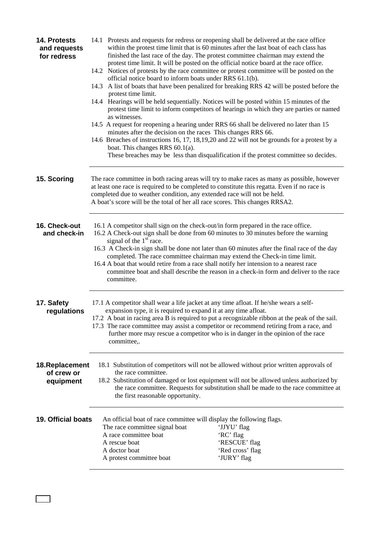| 14. Protests<br>and requests<br>for redress | 14.1 Protests and requests for redress or reopening shall be delivered at the race office<br>14.2 Notices of protests by the race committee or protest committee will be posted on the<br>official notice board to inform boats under RRS 61.1(b).<br>protest time limit.<br>14.4 Hearings will be held sequentially. Notices will be posted within 15 minutes of the<br>as witnesses.<br>14.5 A request for reopening a hearing under RRS 66 shall be delivered no later than 15<br>minutes after the decision on the races This changes RRS 66.<br>boat. This changes RRS $60.1(a)$ . | within the protest time limit that is 60 minutes after the last boat of each class has<br>finished the last race of the day. The protest committee chairman may extend the<br>protest time limit. It will be posted on the official notice board at the race office.<br>14.3 A list of boats that have been penalized for breaking RRS 42 will be posted before the<br>protest time limit to inform competitors of hearings in which they are parties or named<br>14.6 Breaches of instructions 16, 17, 18, 19, 20 and 22 will not be grounds for a protest by a<br>These breaches may be less than disqualification if the protest committee so decides. |  |
|---------------------------------------------|-----------------------------------------------------------------------------------------------------------------------------------------------------------------------------------------------------------------------------------------------------------------------------------------------------------------------------------------------------------------------------------------------------------------------------------------------------------------------------------------------------------------------------------------------------------------------------------------|-----------------------------------------------------------------------------------------------------------------------------------------------------------------------------------------------------------------------------------------------------------------------------------------------------------------------------------------------------------------------------------------------------------------------------------------------------------------------------------------------------------------------------------------------------------------------------------------------------------------------------------------------------------|--|
| 15. Scoring                                 | The race committee in both racing areas will try to make races as many as possible, however<br>at least one race is required to be completed to constitute this regatta. Even if no race is<br>completed due to weather condition, any extended race will not be held.<br>A boat's score will be the total of her all race scores. This changes RRSA2.                                                                                                                                                                                                                                  |                                                                                                                                                                                                                                                                                                                                                                                                                                                                                                                                                                                                                                                           |  |
| 16. Check-out<br>and check-in               | 16.1 A competitor shall sign on the check-out/in form prepared in the race office.<br>16.2 A Check-out sign shall be done from 60 minutes to 30 minutes before the warning<br>signal of the $1st$ race.<br>completed. The race committee chairman may extend the Check-in time limit.<br>16.4 A boat that would retire from a race shall notify her intension to a nearest race<br>committee.                                                                                                                                                                                           | 16.3 A Check-in sign shall be done not later than 60 minutes after the final race of the day<br>committee boat and shall describe the reason in a check-in form and deliver to the race                                                                                                                                                                                                                                                                                                                                                                                                                                                                   |  |
| 17. Safety<br>regulations                   | 17.1 A competitor shall wear a life jacket at any time afloat. If he/she wears a self-<br>expansion type, it is required to expand it at any time afloat.<br>17.2 A boat in racing area B is required to put a recognizable ribbon at the peak of the sail.<br>17.3 The race committee may assist a competitor or recommend retiring from a race, and<br>further more may rescue a competitor who is in danger in the opinion of the race<br>committee,.                                                                                                                                |                                                                                                                                                                                                                                                                                                                                                                                                                                                                                                                                                                                                                                                           |  |
| 18. Replacement<br>of crew or<br>equipment  | 18.1 Substitution of competitors will not be allowed without prior written approvals of<br>the race committee.<br>18.2 Substitution of damaged or lost equipment will not be allowed unless authorized by<br>the race committee. Requests for substitution shall be made to the race committee at<br>the first reasonable opportunity.                                                                                                                                                                                                                                                  |                                                                                                                                                                                                                                                                                                                                                                                                                                                                                                                                                                                                                                                           |  |
| <b>19. Official boats</b>                   | An official boat of race committee will display the following flags.<br>The race committee signal boat<br>A race committee boat<br>A rescue boat<br>A doctor boat<br>A protest committee boat                                                                                                                                                                                                                                                                                                                                                                                           | 'JJYU' flag<br>'RC' flag<br>'RESCUE' flag<br>'Red cross' flag<br>'JURY' flag                                                                                                                                                                                                                                                                                                                                                                                                                                                                                                                                                                              |  |

 $\Box$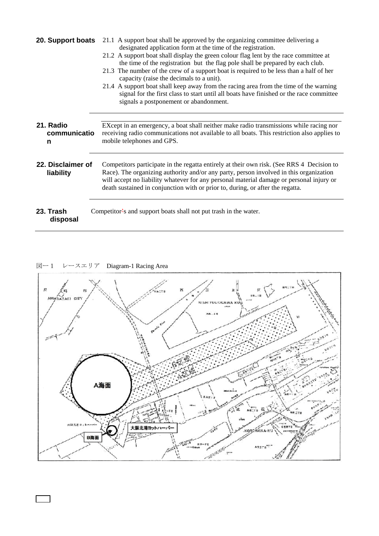| 20. Support boats              | 21.1 A support boat shall be approved by the organizing committee delivering a<br>designated application form at the time of the registration.<br>21.2 A support boat shall display the green colour flag lent by the race committee at<br>the time of the registration but the flag pole shall be prepared by each club.<br>21.3 The number of the crew of a support boat is required to be less than a half of her<br>capacity (raise the decimals to a unit).<br>21.4 A support boat shall keep away from the racing area from the time of the warning<br>signal for the first class to start until all boats have finished or the race committee<br>signals a postponement or abandonment. |  |
|--------------------------------|------------------------------------------------------------------------------------------------------------------------------------------------------------------------------------------------------------------------------------------------------------------------------------------------------------------------------------------------------------------------------------------------------------------------------------------------------------------------------------------------------------------------------------------------------------------------------------------------------------------------------------------------------------------------------------------------|--|
| 21. Radio<br>communicatio<br>n | EXcept in an emergency, a boat shall neither make radio transmissions while racing nor<br>receiving radio communications not available to all boats. This restriction also applies to<br>mobile telephones and GPS.                                                                                                                                                                                                                                                                                                                                                                                                                                                                            |  |
| 22. Disclaimer of<br>liability | Competitors participate in the regatta entirely at their own risk. (See RRS 4 Decision to<br>Race). The organizing authority and/or any party, person involved in this organization<br>will accept no liability whatever for any personal material damage or personal injury or<br>death sustained in conjunction with or prior to, during, or after the regatta.                                                                                                                                                                                                                                                                                                                              |  |
| 23. Trash<br>disposal          | Competitor-s and support boats shall not put trash in the water.                                                                                                                                                                                                                                                                                                                                                                                                                                                                                                                                                                                                                               |  |

図ー1 レースエリア Diagram-1 Racing Area

 $\sqrt{ }$